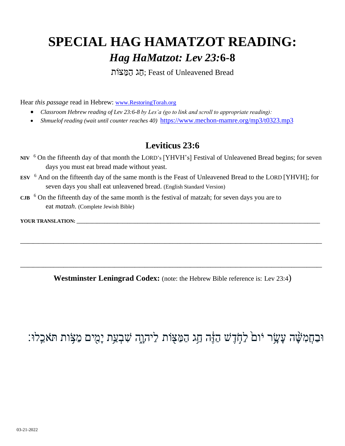# **SPECIAL HAG HAMATZOT READING:**  *Hag HaMatzot: Lev 23:***6-8**

חַג הַמַצּוֹת; Feast of Unleavened Bread

Hear *this passage* read in Hebrew: [www.RestoringTorah.org](http://www.restoringtorah.org/)

- *Classroom Hebrew reading of Lev 23:6-8 by Les'a (go to link and scroll to appropriate reading):*
- *Shmuelof reading (wait until counter reaches 40)* <https://www.mechon-mamre.org/mp3/t0323.mp3>

#### **Leviticus 23:6**

- NIV <sup>6</sup> On the fifteenth day of that month the LORD's [YHVH's] Festival of Unleavened Bread begins; for seven days you must eat bread made without yeast.
- **ESV** <sup>6</sup> And on the fifteenth day of the same month is the Feast of Unleavened Bread to the LORD [YHVH]; for seven days you shall eat unleavened bread. (English Standard Version)
- **CJB**  <sup>6</sup> On the fifteenth day of the same month is the festival of matzah; for seven days you are to eat *matzah*. (Complete Jewish Bible)

YOUR TRANSLATION:

**Westminster Leningrad Codex:** (note: the Hebrew Bible reference is: Lev 23:4)

**\_\_\_\_\_\_\_\_\_\_\_\_\_\_\_\_\_\_\_\_\_\_\_\_\_\_\_\_\_\_\_\_\_\_\_\_\_\_\_\_\_\_\_\_\_\_\_\_\_\_\_\_\_\_\_\_\_\_\_\_\_\_\_\_\_\_\_\_\_\_\_\_\_\_\_\_\_\_\_\_\_\_\_\_\_\_\_\_\_\_\_\_\_\_\_\_\_\_\_\_\_\_\_\_\_\_\_\_\_\_\_\_\_\_\_\_\_\_\_**

**\_\_\_\_\_\_\_\_\_\_\_\_\_\_\_\_\_\_\_\_\_\_\_\_\_\_\_\_\_\_\_\_\_\_\_\_\_\_\_\_\_\_\_\_\_\_\_\_\_\_\_\_\_\_\_\_\_\_\_\_\_\_\_\_\_\_\_\_\_\_\_\_\_\_\_\_\_\_\_\_\_\_\_\_\_\_\_\_\_\_\_\_\_\_\_\_\_\_\_\_\_\_\_\_\_\_\_\_\_\_\_\_\_\_\_\_\_\_\_**

### וּבַחֲמִשָּׁה עָעָׂר יום לַחָֹדֶשׁ הַזֶּה חַג הַמַּצִּוֹת לַיהוֶה שִׁבְעַת יָמִים מַצָּוֹת תֹּאכֵלוּ: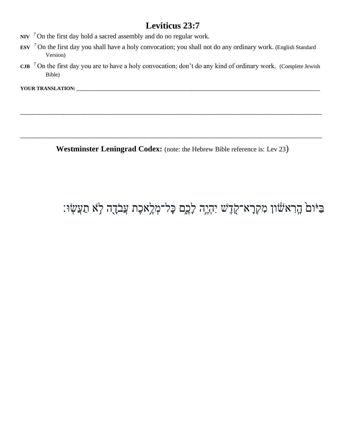#### **Leviticus 23:7**

- **NIV** <sup>7</sup> On the first day hold a sacred assembly and do no regular work.
- **ESV**  <sup>7</sup> On the first day you shall have a holy convocation; you shall not do any ordinary work. (English Standard Version)
- **CJB**  <sup>7</sup> On the first day you are to have a holy convocation; don't do any kind of ordinary work. (Complete Jewish Bible)

**\_\_\_\_\_\_\_\_\_\_\_\_\_\_\_\_\_\_\_\_\_\_\_\_\_\_\_\_\_\_\_\_\_\_\_\_\_\_\_\_\_\_\_\_\_\_\_\_\_\_\_\_\_\_\_\_\_\_\_\_\_\_\_\_\_\_\_\_\_\_\_\_\_\_\_\_\_\_\_\_\_\_\_\_\_\_\_\_\_\_\_\_\_\_\_\_\_\_\_\_\_\_\_\_\_\_\_\_\_\_\_\_\_\_\_\_\_\_\_**

**\_\_\_\_\_\_\_\_\_\_\_\_\_\_\_\_\_\_\_\_\_\_\_\_\_\_\_\_\_\_\_\_\_\_\_\_\_\_\_\_\_\_\_\_\_\_\_\_\_\_\_\_\_\_\_\_\_\_\_\_\_\_\_\_\_\_\_\_\_\_\_\_\_\_\_\_\_\_\_\_\_\_\_\_\_\_\_\_\_\_\_\_\_\_\_\_\_\_\_\_\_\_\_\_\_\_\_\_\_\_\_\_\_\_\_\_\_\_\_**

**YOUR TRANSLATION: \_\_\_\_\_\_\_\_\_\_\_\_\_\_\_\_\_\_\_\_\_\_\_\_\_\_\_\_\_\_\_\_\_\_\_\_\_\_\_\_\_\_\_\_\_\_\_\_\_\_\_\_\_\_\_\_\_\_\_\_\_\_\_\_\_\_\_\_\_\_\_\_\_\_\_\_\_\_\_\_\_\_\_\_\_\_\_\_\_\_\_\_\_\_\_\_**

Westminster Leningrad Codex: (note: the Hebrew Bible reference is: Lev 23)

## ּבַּיּׁוםۢ הֲרִאשׁׂון מִקְרָא־קֻׂדֶשׁ יִהְיֶה לָבֶם כָּל־מְלֶאכֶת עֲבֹדֶה לָא תַעֲשְׂוּ׃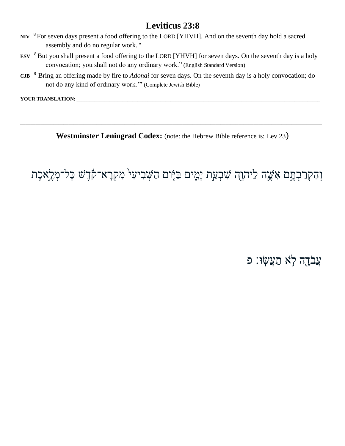#### **Leviticus 23:8**

- NIV <sup>8</sup> For seven days present a food offering to the LORD [YHVH]. And on the seventh day hold a sacred assembly and do no regular work."
- ESV <sup>8</sup> But you shall present a food offering to the LORD [YHVH] for seven days. On the seventh day is a holy convocation; you shall not do any ordinary work." (English Standard Version)
- CJB  $\,$ <sup>8</sup> Bring an offering made by fire to *Adonai* for seven days. On the seventh day is a holy convocation; do not do any kind of ordinary work." (Complete Jewish Bible)

YOUR TRANSLATION:

Westminster Leningrad Codex: (note: the Hebrew Bible reference is: Lev 23)

וְהִקְרַבְהֶם אִשֶׁה לַיהוָה שִׁבְעַת יָמֶים בַּיָּום הַשְּׁבִיעִי מִקְרָא־קֹֹדֶשׁ כָּל־מְלֶאכֶת

עֲבֹדֶה לְא תַעֲשָׂוּ: פ